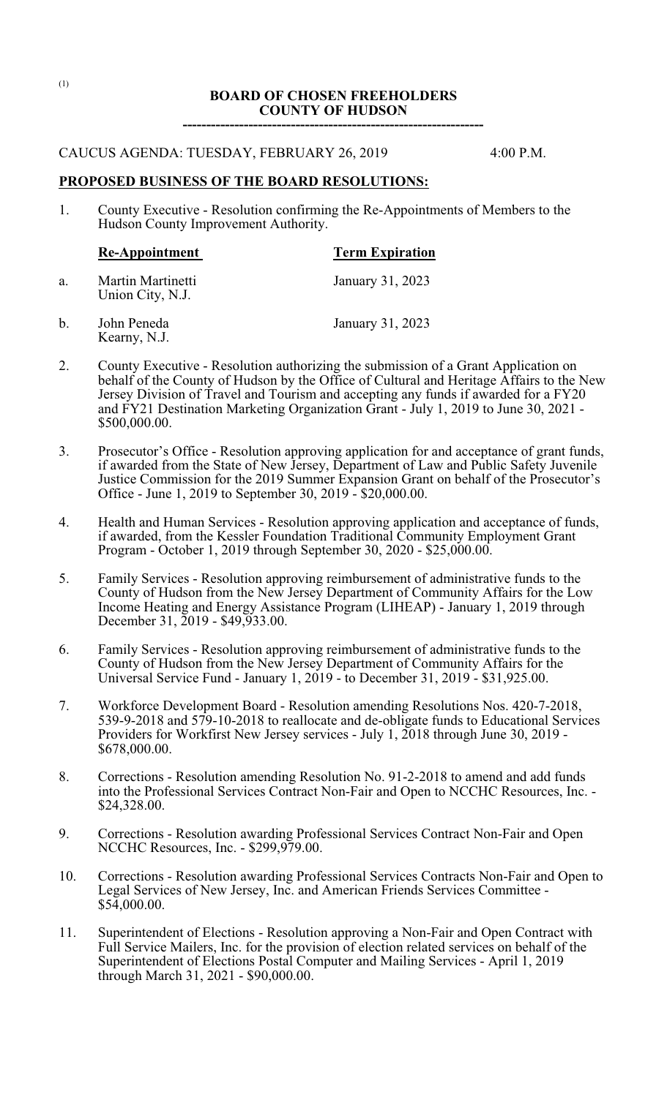# **BOARD OF CHOSEN FREEHOLDERS COUNTY OF HUDSON**

**----------------------------------------------------------------**

#### CAUCUS AGENDA: TUESDAY, FEBRUARY 26, 2019 4:00 P.M.

**PROPOSED BUSINESS OF THE BOARD RESOLUTIONS:**

1. County Executive - Resolution confirming the Re-Appointments of Members to the Hudson County Improvement Authority.

|    | Re-Appointment                        | <b>Term Expiration</b> |  |  |
|----|---------------------------------------|------------------------|--|--|
| a. | Martin Martinetti<br>Union City, N.J. | January 31, 2023       |  |  |
| b. | John Peneda                           | January 31, 2023       |  |  |

- Kearny, N.J.
- 2. County Executive Resolution authorizing the submission of a Grant Application on behalf of the County of Hudson by the Office of Cultural and Heritage Affairs to the New Jersey Division of Travel and Tourism and accepting any funds if awarded for a FY20 and FY21 Destination Marketing Organization Grant - July 1, 2019 to June 30, 2021 - \$500,000.00.
- 3. Prosecutor's Office Resolution approving application for and acceptance of grant funds, if awarded from the State of New Jersey, Department of Law and Public Safety Juvenile Justice Commission for the 2019 Summer Expansion Grant on behalf of the Prosecutor's Office - June 1, 2019 to September 30, 2019 - \$20,000.00.
- 4. Health and Human Services Resolution approving application and acceptance of funds, if awarded, from the Kessler Foundation Traditional Community Employment Grant Program - October 1, 2019 through September 30, 2020 - \$25,000.00.
- 5. Family Services Resolution approving reimbursement of administrative funds to the County of Hudson from the New Jersey Department of Community Affairs for the Low Income Heating and Energy Assistance Program (LIHEAP) - January 1, 2019 through December 31, 2019 - \$49,933.00.
- 6. Family Services Resolution approving reimbursement of administrative funds to the County of Hudson from the New Jersey Department of Community Affairs for the Universal Service Fund - January 1, 2019 - to December 31, 2019 - \$31,925.00.
- 7. Workforce Development Board Resolution amending Resolutions Nos. 420-7-2018, 539-9-2018 and 579-10-2018 to reallocate and de-obligate funds to Educational Services Providers for Workfirst New Jersey services - July 1, 2018 through June 30, 2019 - \$678,000.00.
- 8. Corrections Resolution amending Resolution No. 91-2-2018 to amend and add funds into the Professional Services Contract Non-Fair and Open to NCCHC Resources, Inc. - \$24,328.00.
- 9. Corrections Resolution awarding Professional Services Contract Non-Fair and Open NCCHC Resources, Inc. - \$299,979.00.
- 10. Corrections Resolution awarding Professional Services Contracts Non-Fair and Open to Legal Services of New Jersey, Inc. and American Friends Services Committee - \$54,000.00.
- 11. Superintendent of Elections Resolution approving a Non-Fair and Open Contract with Full Service Mailers, Inc. for the provision of election related services on behalf of the Superintendent of Elections Postal Computer and Mailing Services - April 1, 2019 through March 31, 2021 - \$90,000.00.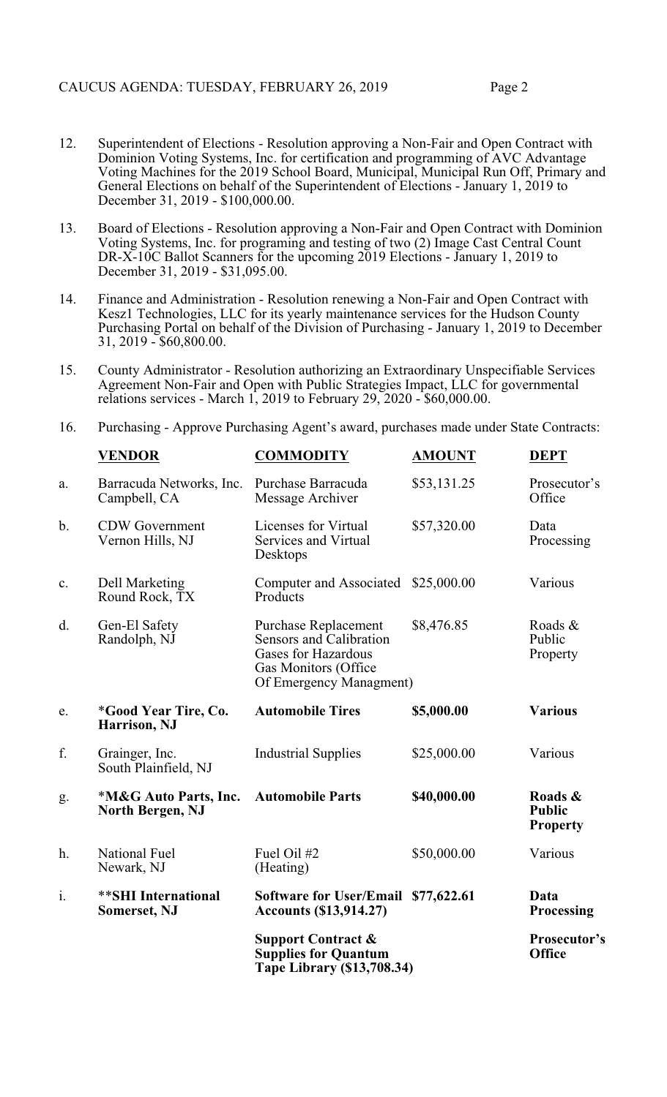- 12. Superintendent of Elections Resolution approving a Non-Fair and Open Contract with Dominion Voting Systems, Inc. for certification and programming of AVC Advantage Voting Machines for the 2019 School Board, Municipal, Municipal Run Off, Primary and General Elections on behalf of the Superintendent of Elections - January 1, 2019 to December 31, 2019 - \$100,000.00.
- 13. Board of Elections Resolution approving a Non-Fair and Open Contract with Dominion Voting Systems, Inc. for programing and testing of two (2) Image Cast Central Count DR-X-10C Ballot Scanners for the upcoming 2019 Elections - January 1, 2019 to December 31, 2019 - \$31,095.00.
- 14. Finance and Administration Resolution renewing a Non-Fair and Open Contract with Kesz1 Technologies, LLC for its yearly maintenance services for the Hudson County Purchasing Portal on behalf of the Division of Purchasing - January 1, 2019 to December 31, 2019 - \$60,800.00.
- 15. County Administrator Resolution authorizing an Extraordinary Unspecifiable Services Agreement Non-Fair and Open with Public Strategies Impact, LLC for governmental relations services - March 1, 2019 to February 29, 2020 - \$60,000.00.
- 16. Purchasing Approve Purchasing Agent's award, purchases made under State Contracts:

|    | <b>VENDOR</b>                               | <b>COMMODITY</b>                                                                                                                        | <b>AMOUNT</b> | <b>DEPT</b>                                 |
|----|---------------------------------------------|-----------------------------------------------------------------------------------------------------------------------------------------|---------------|---------------------------------------------|
| a. | Barracuda Networks, Inc.<br>Campbell, CA    | Purchase Barracuda<br>Message Archiver                                                                                                  | \$53,131.25   | Prosecutor's<br>Office                      |
| b. | <b>CDW</b> Government<br>Vernon Hills, NJ   | Licenses for Virtual<br>Services and Virtual<br>Desktops                                                                                | \$57,320.00   | Data<br>Processing                          |
| c. | Dell Marketing<br>Round Rock, TX            | Computer and Associated<br>Products                                                                                                     | \$25,000.00   | Various                                     |
| d. | Gen-El Safety<br>Randolph, NJ               | <b>Purchase Replacement</b><br>Sensors and Calibration<br><b>Gases for Hazardous</b><br>Gas Monitors (Office<br>Of Emergency Managment) | \$8,476.85    | Roads &<br>Public<br>Property               |
| e. | <i>*Good Year Tire, Co.</i><br>Harrison, NJ | <b>Automobile Tires</b>                                                                                                                 | \$5,000.00    | <b>Various</b>                              |
| f. | Grainger, Inc.<br>South Plainfield, NJ      | <b>Industrial Supplies</b>                                                                                                              | \$25,000.00   | Various                                     |
| g. | *M&G Auto Parts, Inc.<br>North Bergen, NJ   | <b>Automobile Parts</b>                                                                                                                 | \$40,000.00   | Roads &<br><b>Public</b><br><b>Property</b> |
| h. | <b>National Fuel</b><br>Newark, NJ          | Fuel Oil #2<br>(Heating)                                                                                                                | \$50,000.00   | Various                                     |
| i. | ** SHI International<br><b>Somerset, NJ</b> | Software for User/Email \$77,622.61<br><b>Accounts (\$13,914.27)</b>                                                                    |               | Data<br><b>Processing</b>                   |
|    |                                             | <b>Support Contract &amp;</b><br><b>Supplies for Quantum</b><br>Tape Library (\$13,708.34)                                              |               | Prosecutor's<br><b>Office</b>               |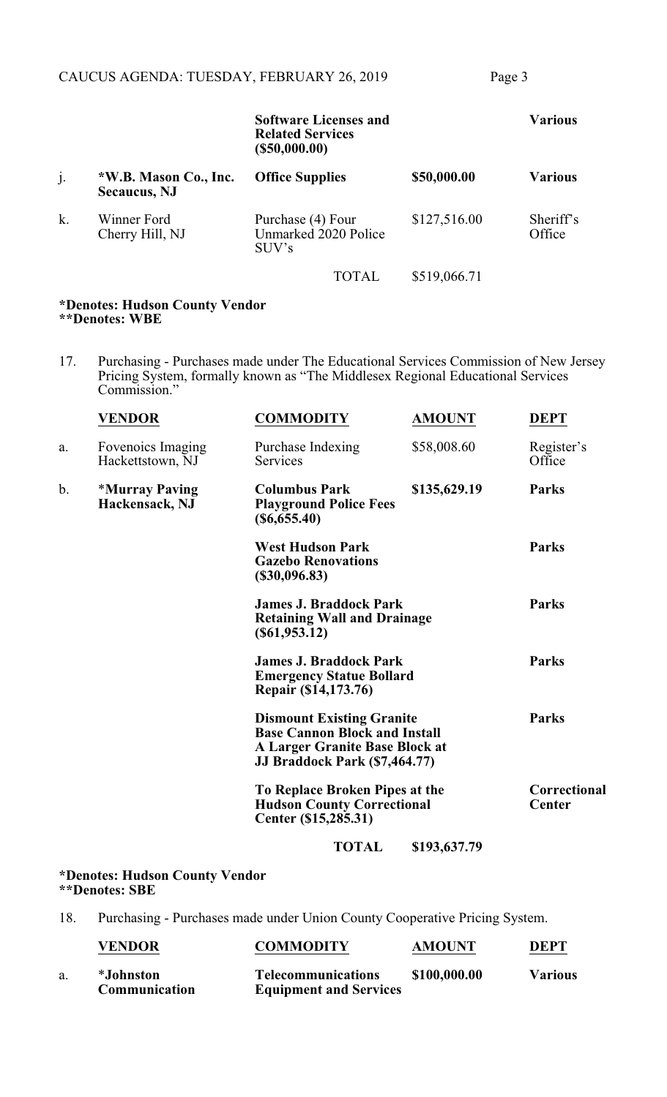|    |                                               | <b>Software Licenses and</b><br><b>Related Services</b><br>$($ \$50,000.00) |              | <b>Various</b>      |
|----|-----------------------------------------------|-----------------------------------------------------------------------------|--------------|---------------------|
| j. | *W.B. Mason Co., Inc.<br><b>Secaucus</b> , NJ | <b>Office Supplies</b>                                                      | \$50,000.00  | <b>Various</b>      |
| k. | Winner Ford<br>Cherry Hill, NJ                | Purchase (4) Four<br>Unmarked 2020 Police<br>SUV's                          | \$127,516.00 | Sheriff's<br>Office |
|    |                                               | <b>TOTAL</b>                                                                | \$519,066.71 |                     |

#### **\*Denotes: Hudson County Vendor \*\*Denotes: WBE**

17. Purchasing - Purchases made under The Educational Services Commission of New Jersey Pricing System, formally known as "The Middlesex Regional Educational Services Commission."

|    | <b>VENDOR</b>                         | <b>COMMODITY</b>                                                                                                                            | <b>AMOUNT</b> | <b>DEPT</b>                   |
|----|---------------------------------------|---------------------------------------------------------------------------------------------------------------------------------------------|---------------|-------------------------------|
| a. | Fovenoics Imaging<br>Hackettstown, NJ | Purchase Indexing<br>Services                                                                                                               | \$58,008.60   | Register's<br>Office          |
| b. | *Murray Paving<br>Hackensack, NJ      | <b>Columbus Park</b><br><b>Playground Police Fees</b><br>$(\$6,655.40)$                                                                     | \$135,629.19  | <b>Parks</b>                  |
|    |                                       | <b>West Hudson Park</b><br><b>Gazebo Renovations</b><br>(\$30,096.83)                                                                       |               | <b>Parks</b>                  |
|    |                                       | <b>James J. Braddock Park</b><br><b>Retaining Wall and Drainage</b><br>$($ \$61,953.12)                                                     |               | <b>Parks</b>                  |
|    |                                       | <b>James J. Braddock Park</b><br><b>Emergency Statue Bollard</b><br>Repair (\$14,173.76)                                                    |               | <b>Parks</b>                  |
|    |                                       | <b>Dismount Existing Granite</b><br><b>Base Cannon Block and Install</b><br>A Larger Granite Base Block at<br>JJ Braddock Park (\$7,464.77) |               | <b>Parks</b>                  |
|    |                                       | To Replace Broken Pipes at the<br><b>Hudson County Correctional</b><br>Center (\$15,285.31)                                                 |               | Correctional<br><b>Center</b> |
|    |                                       | <b>TOTAL</b>                                                                                                                                | \$193,637.79  |                               |
|    |                                       |                                                                                                                                             |               |                               |

#### **\*Denotes: Hudson County Vendor \*\*Denotes: SBE**

18. Purchasing - Purchases made under Union County Cooperative Pricing System.

|    | <b>VENDOR</b>              | <b>COMMODITY</b>                                           | <b>AMOUNT</b> | <b>DEPT</b>    |
|----|----------------------------|------------------------------------------------------------|---------------|----------------|
| a. | *Johnston<br>Communication | <b>Telecommunications</b><br><b>Equipment and Services</b> | \$100,000.00  | <b>Various</b> |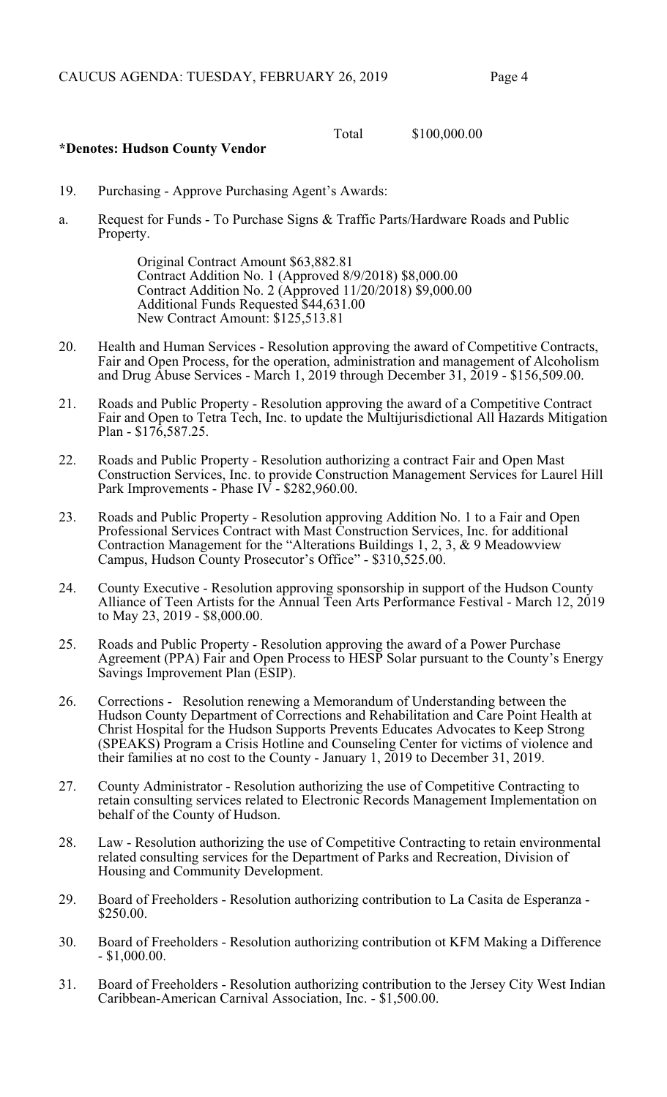Total \$100,000.00

### **\*Denotes: Hudson County Vendor**

- 19. Purchasing Approve Purchasing Agent's Awards:
- a. Request for Funds To Purchase Signs & Traffic Parts/Hardware Roads and Public Property.

Original Contract Amount \$63,882.81 Contract Addition No. 1 (Approved 8/9/2018) \$8,000.00 Contract Addition No. 2 (Approved 11/20/2018) \$9,000.00 Additional Funds Requested \$44,631.00 New Contract Amount: \$125,513.81

- 20. Health and Human Services Resolution approving the award of Competitive Contracts, Fair and Open Process, for the operation, administration and management of Alcoholism and Drug Abuse Services - March 1, 2019 through December 31, 2019 - \$156,509.00.
- 21. Roads and Public Property Resolution approving the award of a Competitive Contract Fair and Open to Tetra Tech, Inc. to update the Multijurisdictional All Hazards Mitigation Plan - \$176,587.25.
- 22. Roads and Public Property Resolution authorizing a contract Fair and Open Mast Construction Services, Inc. to provide Construction Management Services for Laurel Hill Park Improvements - Phase IV - \$282,960.00.
- 23. Roads and Public Property Resolution approving Addition No. 1 to a Fair and Open Professional Services Contract with Mast Construction Services, Inc. for additional Contraction Management for the "Alterations Buildings 1, 2, 3, & 9 Meadowview Campus, Hudson County Prosecutor's Office" - \$310,525.00.
- 24. County Executive Resolution approving sponsorship in support of the Hudson County Alliance of Teen Artists for the Annual Teen Arts Performance Festival - March 12, 2019 to May 23, 2019 - \$8,000.00.
- 25. Roads and Public Property Resolution approving the award of a Power Purchase Agreement (PPA) Fair and Open Process to HESP Solar pursuant to the County's Energy Savings Improvement Plan (ESIP).
- 26. Corrections Resolution renewing a Memorandum of Understanding between the Hudson County Department of Corrections and Rehabilitation and Care Point Health at Christ Hospital for the Hudson Supports Prevents Educates Advocates to Keep Strong (SPEAKS) Program a Crisis Hotline and Counseling Center for victims of violence and their families at no cost to the County - January 1, 2019 to December 31, 2019.
- 27. County Administrator Resolution authorizing the use of Competitive Contracting to retain consulting services related to Electronic Records Management Implementation on behalf of the County of Hudson.
- 28. Law Resolution authorizing the use of Competitive Contracting to retain environmental related consulting services for the Department of Parks and Recreation, Division of Housing and Community Development.
- 29. Board of Freeholders Resolution authorizing contribution to La Casita de Esperanza \$250.00.
- 30. Board of Freeholders Resolution authorizing contribution ot KFM Making a Difference - \$1,000.00.
- 31. Board of Freeholders Resolution authorizing contribution to the Jersey City West Indian Caribbean-American Carnival Association, Inc. - \$1,500.00.